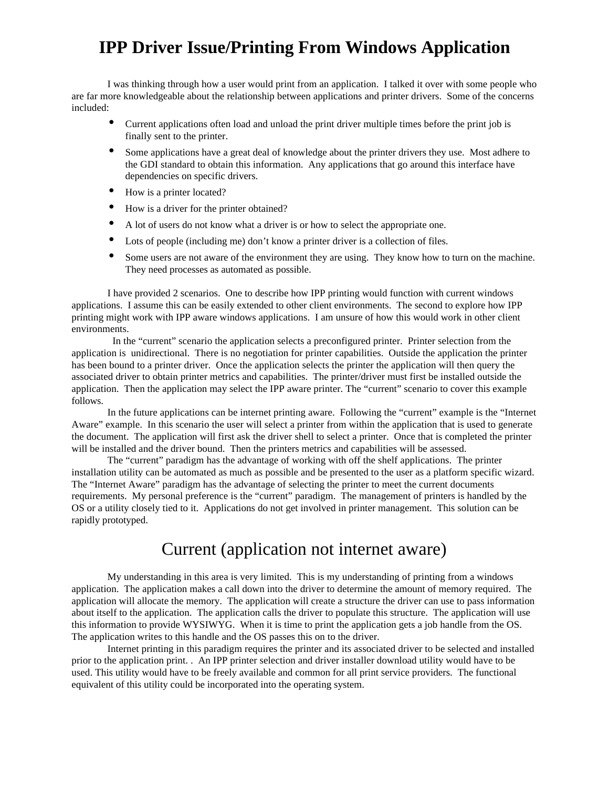## **IPP Driver Issue/Printing From Windows Application**

I was thinking through how a user would print from an application. I talked it over with some people who are far more knowledgeable about the relationship between applications and printer drivers. Some of the concerns included:

- Current applications often load and unload the print driver multiple times before the print job is finally sent to the printer.
- Some applications have a great deal of knowledge about the printer drivers they use. Most adhere to the GDI standard to obtain this information. Any applications that go around this interface have dependencies on specific drivers.
- How is a printer located?
- How is a driver for the printer obtained?
- A lot of users do not know what a driver is or how to select the appropriate one.
- Lots of people (including me) don't know a printer driver is a collection of files.
- Some users are not aware of the environment they are using. They know how to turn on the machine. They need processes as automated as possible.

I have provided 2 scenarios. One to describe how IPP printing would function with current windows applications. I assume this can be easily extended to other client environments. The second to explore how IPP printing might work with IPP aware windows applications. I am unsure of how this would work in other client environments.

 In the "current" scenario the application selects a preconfigured printer. Printer selection from the application is unidirectional. There is no negotiation for printer capabilities. Outside the application the printer has been bound to a printer driver. Once the application selects the printer the application will then query the associated driver to obtain printer metrics and capabilities. The printer/driver must first be installed outside the application. Then the application may select the IPP aware printer. The "current" scenario to cover this example follows.

In the future applications can be internet printing aware. Following the "current" example is the "Internet Aware" example. In this scenario the user will select a printer from within the application that is used to generate the document. The application will first ask the driver shell to select a printer. Once that is completed the printer will be installed and the driver bound. Then the printers metrics and capabilities will be assessed.

The "current" paradigm has the advantage of working with off the shelf applications. The printer installation utility can be automated as much as possible and be presented to the user as a platform specific wizard. The "Internet Aware" paradigm has the advantage of selecting the printer to meet the current documents requirements. My personal preference is the "current" paradigm. The management of printers is handled by the OS or a utility closely tied to it. Applications do not get involved in printer management. This solution can be rapidly prototyped.

## Current (application not internet aware)

My understanding in this area is very limited. This is my understanding of printing from a windows application. The application makes a call down into the driver to determine the amount of memory required. The application will allocate the memory. The application will create a structure the driver can use to pass information about itself to the application. The application calls the driver to populate this structure. The application will use this information to provide WYSIWYG. When it is time to print the application gets a job handle from the OS. The application writes to this handle and the OS passes this on to the driver.

Internet printing in this paradigm requires the printer and its associated driver to be selected and installed prior to the application print. . An IPP printer selection and driver installer download utility would have to be used. This utility would have to be freely available and common for all print service providers. The functional equivalent of this utility could be incorporated into the operating system.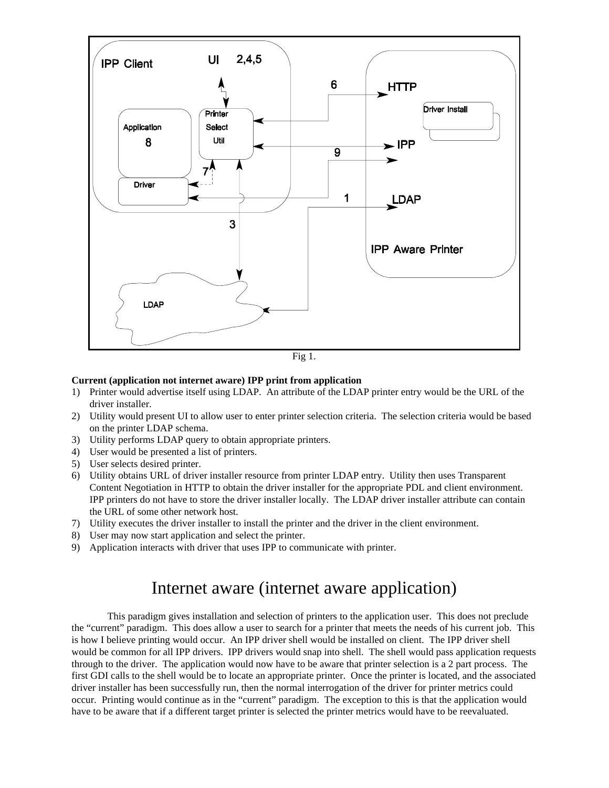

## **Current (application not internet aware) IPP print from application**

- 1) Printer would advertise itself using LDAP. An attribute of the LDAP printer entry would be the URL of the driver installer.
- 2) Utility would present UI to allow user to enter printer selection criteria. The selection criteria would be based on the printer LDAP schema.
- 3) Utility performs LDAP query to obtain appropriate printers.
- 4) User would be presented a list of printers.
- 5) User selects desired printer.
- 6) Utility obtains URL of driver installer resource from printer LDAP entry. Utility then uses Transparent Content Negotiation in HTTP to obtain the driver installer for the appropriate PDL and client environment. IPP printers do not have to store the driver installer locally. The LDAP driver installer attribute can contain the URL of some other network host.
- 7) Utility executes the driver installer to install the printer and the driver in the client environment.
- 8) User may now start application and select the printer.
- 9) Application interacts with driver that uses IPP to communicate with printer.

## Internet aware (internet aware application)

This paradigm gives installation and selection of printers to the application user. This does not preclude the "current" paradigm. This does allow a user to search for a printer that meets the needs of his current job. This is how I believe printing would occur. An IPP driver shell would be installed on client. The IPP driver shell would be common for all IPP drivers. IPP drivers would snap into shell. The shell would pass application requests through to the driver. The application would now have to be aware that printer selection is a 2 part process. The first GDI calls to the shell would be to locate an appropriate printer. Once the printer is located, and the associated driver installer has been successfully run, then the normal interrogation of the driver for printer metrics could occur. Printing would continue as in the "current" paradigm. The exception to this is that the application would have to be aware that if a different target printer is selected the printer metrics would have to be reevaluated.